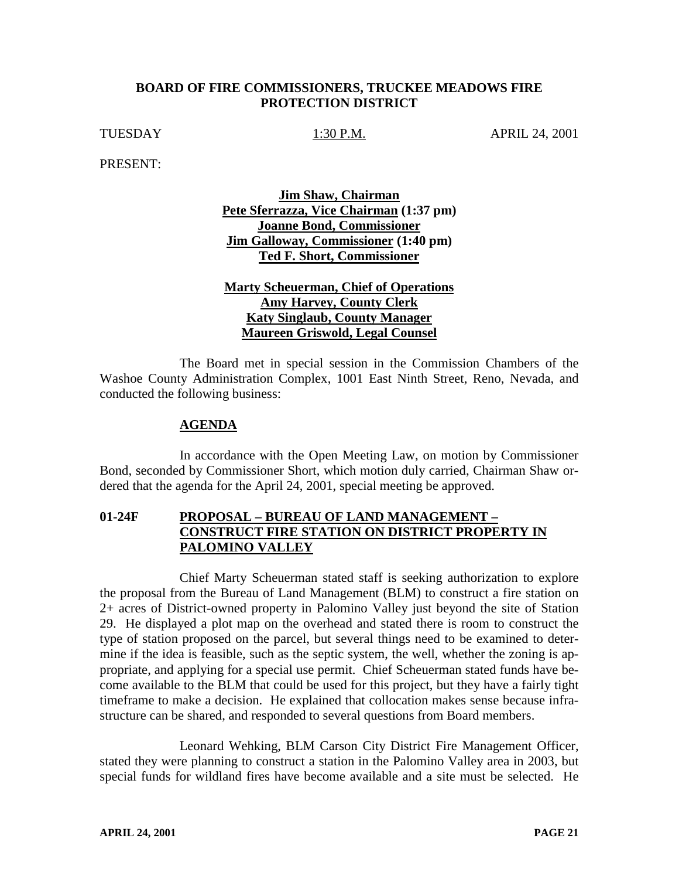## **BOARD OF FIRE COMMISSIONERS, TRUCKEE MEADOWS FIRE PROTECTION DISTRICT**

TUESDAY 1:30 P.M. APRIL 24, 2001

PRESENT:

**Jim Shaw, Chairman Pete Sferrazza, Vice Chairman (1:37 pm) Joanne Bond, Commissioner Jim Galloway, Commissioner (1:40 pm) Ted F. Short, Commissioner**

**Marty Scheuerman, Chief of Operations Amy Harvey, County Clerk Katy Singlaub, County Manager Maureen Griswold, Legal Counsel**

The Board met in special session in the Commission Chambers of the Washoe County Administration Complex, 1001 East Ninth Street, Reno, Nevada, and conducted the following business:

## **AGENDA**

In accordance with the Open Meeting Law, on motion by Commissioner Bond, seconded by Commissioner Short, which motion duly carried, Chairman Shaw ordered that the agenda for the April 24, 2001, special meeting be approved.

## **01-24F PROPOSAL – BUREAU OF LAND MANAGEMENT – CONSTRUCT FIRE STATION ON DISTRICT PROPERTY IN PALOMINO VALLEY**

Chief Marty Scheuerman stated staff is seeking authorization to explore the proposal from the Bureau of Land Management (BLM) to construct a fire station on 2+ acres of District-owned property in Palomino Valley just beyond the site of Station 29. He displayed a plot map on the overhead and stated there is room to construct the type of station proposed on the parcel, but several things need to be examined to determine if the idea is feasible, such as the septic system, the well, whether the zoning is appropriate, and applying for a special use permit. Chief Scheuerman stated funds have become available to the BLM that could be used for this project, but they have a fairly tight timeframe to make a decision. He explained that collocation makes sense because infrastructure can be shared, and responded to several questions from Board members.

Leonard Wehking, BLM Carson City District Fire Management Officer, stated they were planning to construct a station in the Palomino Valley area in 2003, but special funds for wildland fires have become available and a site must be selected. He